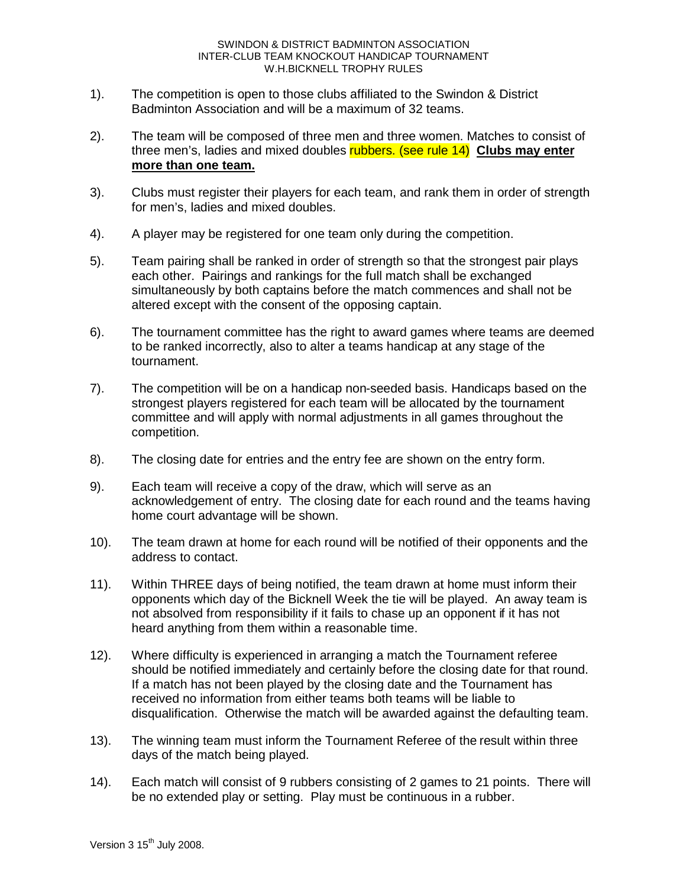- 1). The competition is open to those clubs affiliated to the Swindon & District Badminton Association and will be a maximum of 32 teams.
- 2). The team will be composed of three men and three women. Matches to consist of three men's, ladies and mixed doubles rubbers. (see rule 14) **Clubs may enter more than one team.**
- 3). Clubs must register their players for each team, and rank them in order of strength for men's, ladies and mixed doubles.
- 4). A player may be registered for one team only during the competition.
- 5). Team pairing shall be ranked in order of strength so that the strongest pair plays each other. Pairings and rankings for the full match shall be exchanged simultaneously by both captains before the match commences and shall not be altered except with the consent of the opposing captain.
- 6). The tournament committee has the right to award games where teams are deemed to be ranked incorrectly, also to alter a teams handicap at any stage of the tournament.
- 7). The competition will be on a handicap non-seeded basis. Handicaps based on the strongest players registered for each team will be allocated by the tournament committee and will apply with normal adjustments in all games throughout the competition.
- 8). The closing date for entries and the entry fee are shown on the entry form.
- 9). Each team will receive a copy of the draw, which will serve as an acknowledgement of entry. The closing date for each round and the teams having home court advantage will be shown.
- 10). The team drawn at home for each round will be notified of their opponents and the address to contact.
- 11). Within THREE days of being notified, the team drawn at home must inform their opponents which day of the Bicknell Week the tie will be played. An away team is not absolved from responsibility if it fails to chase up an opponent if it has not heard anything from them within a reasonable time.
- 12). Where difficulty is experienced in arranging a match the Tournament referee should be notified immediately and certainly before the closing date for that round. If a match has not been played by the closing date and the Tournament has received no information from either teams both teams will be liable to disqualification. Otherwise the match will be awarded against the defaulting team.
- 13). The winning team must inform the Tournament Referee of the result within three days of the match being played.
- 14). Each match will consist of 9 rubbers consisting of 2 games to 21 points. There will be no extended play or setting. Play must be continuous in a rubber.